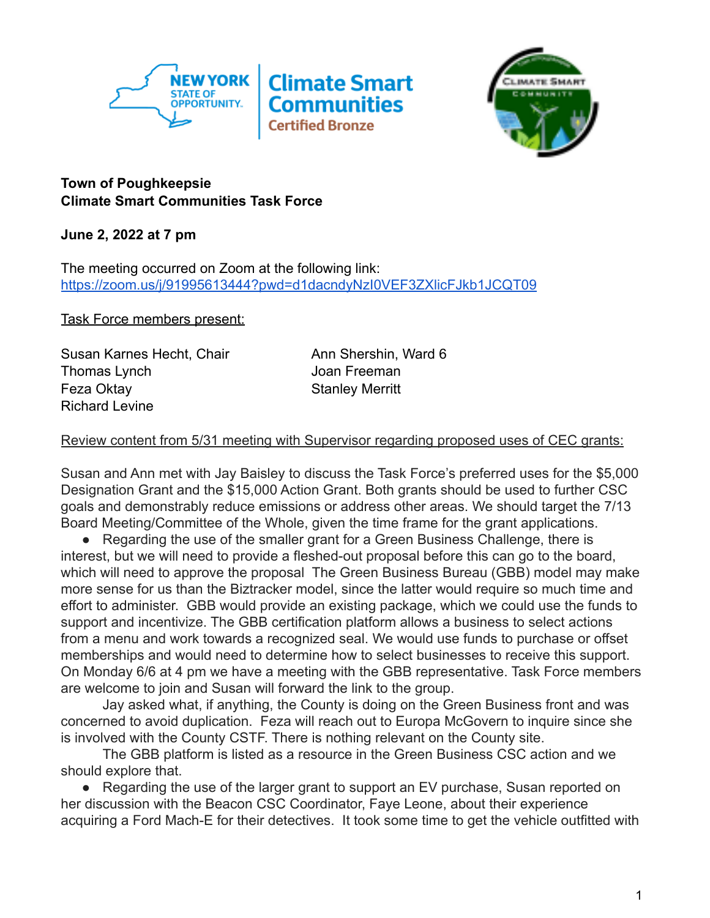



## **Town of Poughkeepsie Climate Smart Communities Task Force**

**June 2, 2022 at 7 pm**

The meeting occurred on Zoom at the following link: <https://zoom.us/j/91995613444?pwd=d1dacndyNzI0VEF3ZXlicFJkb1JCQT09>

Task Force members present:

Susan Karnes Hecht, Chair **Ann Shershin, Ward 6** Thomas Lynch **Immunomediate Communist Communist Communist Communist Communist Communist Communist Communist Communist Communist Communist Communist Communist Communist Communist Communist Communist Communist Communist Comm** Feza Oktay **Stanley Merritt** Richard Levine

## Review content from 5/31 meeting with Supervisor regarding proposed uses of CEC grants:

Susan and Ann met with Jay Baisley to discuss the Task Force's preferred uses for the \$5,000 Designation Grant and the \$15,000 Action Grant. Both grants should be used to further CSC goals and demonstrably reduce emissions or address other areas. We should target the 7/13 Board Meeting/Committee of the Whole, given the time frame for the grant applications.

● Regarding the use of the smaller grant for a Green Business Challenge, there is interest, but we will need to provide a fleshed-out proposal before this can go to the board, which will need to approve the proposal The Green Business Bureau (GBB) model may make more sense for us than the Biztracker model, since the latter would require so much time and effort to administer. GBB would provide an existing package, which we could use the funds to support and incentivize. The GBB certification platform allows a business to select actions from a menu and work towards a recognized seal. We would use funds to purchase or offset memberships and would need to determine how to select businesses to receive this support. On Monday 6/6 at 4 pm we have a meeting with the GBB representative. Task Force members are welcome to join and Susan will forward the link to the group.

Jay asked what, if anything, the County is doing on the Green Business front and was concerned to avoid duplication. Feza will reach out to Europa McGovern to inquire since she is involved with the County CSTF. There is nothing relevant on the County site.

The GBB platform is listed as a resource in the Green Business CSC action and we should explore that.

• Regarding the use of the larger grant to support an EV purchase, Susan reported on her discussion with the Beacon CSC Coordinator, Faye Leone, about their experience acquiring a Ford Mach-E for their detectives. It took some time to get the vehicle outfitted with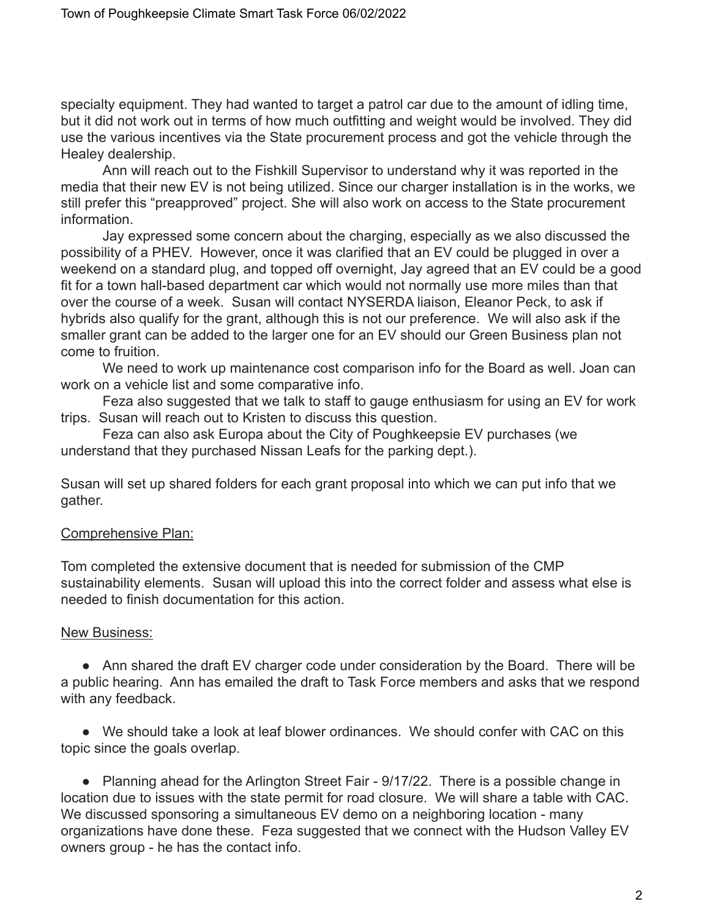specialty equipment. They had wanted to target a patrol car due to the amount of idling time, but it did not work out in terms of how much outfitting and weight would be involved. They did use the various incentives via the State procurement process and got the vehicle through the Healey dealership.

Ann will reach out to the Fishkill Supervisor to understand why it was reported in the media that their new EV is not being utilized. Since our charger installation is in the works, we still prefer this "preapproved" project. She will also work on access to the State procurement information.

Jay expressed some concern about the charging, especially as we also discussed the possibility of a PHEV. However, once it was clarified that an EV could be plugged in over a weekend on a standard plug, and topped off overnight, Jay agreed that an EV could be a good fit for a town hall-based department car which would not normally use more miles than that over the course of a week. Susan will contact NYSERDA liaison, Eleanor Peck, to ask if hybrids also qualify for the grant, although this is not our preference. We will also ask if the smaller grant can be added to the larger one for an EV should our Green Business plan not come to fruition.

We need to work up maintenance cost comparison info for the Board as well. Joan can work on a vehicle list and some comparative info.

Feza also suggested that we talk to staff to gauge enthusiasm for using an EV for work trips. Susan will reach out to Kristen to discuss this question.

Feza can also ask Europa about the City of Poughkeepsie EV purchases (we understand that they purchased Nissan Leafs for the parking dept.).

Susan will set up shared folders for each grant proposal into which we can put info that we gather.

## Comprehensive Plan:

Tom completed the extensive document that is needed for submission of the CMP sustainability elements. Susan will upload this into the correct folder and assess what else is needed to finish documentation for this action.

## New Business:

• Ann shared the draft EV charger code under consideration by the Board. There will be a public hearing. Ann has emailed the draft to Task Force members and asks that we respond with any feedback.

● We should take a look at leaf blower ordinances. We should confer with CAC on this topic since the goals overlap.

• Planning ahead for the Arlington Street Fair - 9/17/22. There is a possible change in location due to issues with the state permit for road closure. We will share a table with CAC. We discussed sponsoring a simultaneous EV demo on a neighboring location - many organizations have done these. Feza suggested that we connect with the Hudson Valley EV owners group - he has the contact info.